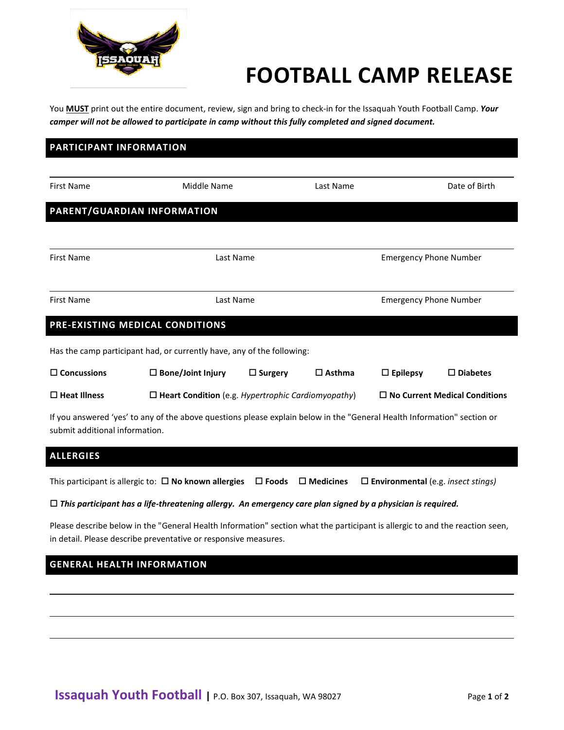

# **FOOTBALL CAMP RELEASE**

You **MUST** print out the entire document, review, sign and bring to check-in for the Issaquah Youth Football Camp. *Your camper will not be allowed to participate in camp without this fully completed and signed document.* 

## **PARTICIPANT INFORMATION**

| <b>First Name</b>                                                                                                                                         | Middle Name                                               |                | Last Name                     |                                      | Date of Birth      |  |
|-----------------------------------------------------------------------------------------------------------------------------------------------------------|-----------------------------------------------------------|----------------|-------------------------------|--------------------------------------|--------------------|--|
| PARENT/GUARDIAN INFORMATION                                                                                                                               |                                                           |                |                               |                                      |                    |  |
|                                                                                                                                                           |                                                           |                |                               |                                      |                    |  |
|                                                                                                                                                           |                                                           |                |                               |                                      |                    |  |
| <b>First Name</b>                                                                                                                                         | Last Name                                                 |                | <b>Emergency Phone Number</b> |                                      |                    |  |
|                                                                                                                                                           |                                                           |                |                               |                                      |                    |  |
| <b>First Name</b>                                                                                                                                         | Last Name                                                 |                |                               | <b>Emergency Phone Number</b>        |                    |  |
|                                                                                                                                                           |                                                           |                |                               |                                      |                    |  |
| PRE-EXISTING MEDICAL CONDITIONS                                                                                                                           |                                                           |                |                               |                                      |                    |  |
| Has the camp participant had, or currently have, any of the following:                                                                                    |                                                           |                |                               |                                      |                    |  |
| $\Box$ Concussions                                                                                                                                        | $\Box$ Bone/Joint Injury                                  | $\Box$ Surgery | $\square$ Asthma              | $\Box$ Epilepsy                      | $\square$ Diabetes |  |
| $\square$ Heat Illness                                                                                                                                    | $\Box$ Heart Condition (e.g. Hypertrophic Cardiomyopathy) |                |                               | $\Box$ No Current Medical Conditions |                    |  |
| If you answered 'yes' to any of the above questions please explain below in the "General Health Information" section or<br>submit additional information. |                                                           |                |                               |                                      |                    |  |

## **ALLERGIES**

This participant is allergic to: **No known allergies Foods Medicines Environmental** (e.g. *insect stings)*

#### *This participant has a life-threatening allergy. An emergency care plan signed by a physician is required.*

Please describe below in the "General Health Information" section what the participant is allergic to and the reaction seen, in detail. Please describe preventative or responsive measures.

# **GENERAL HEALTH INFORMATION**